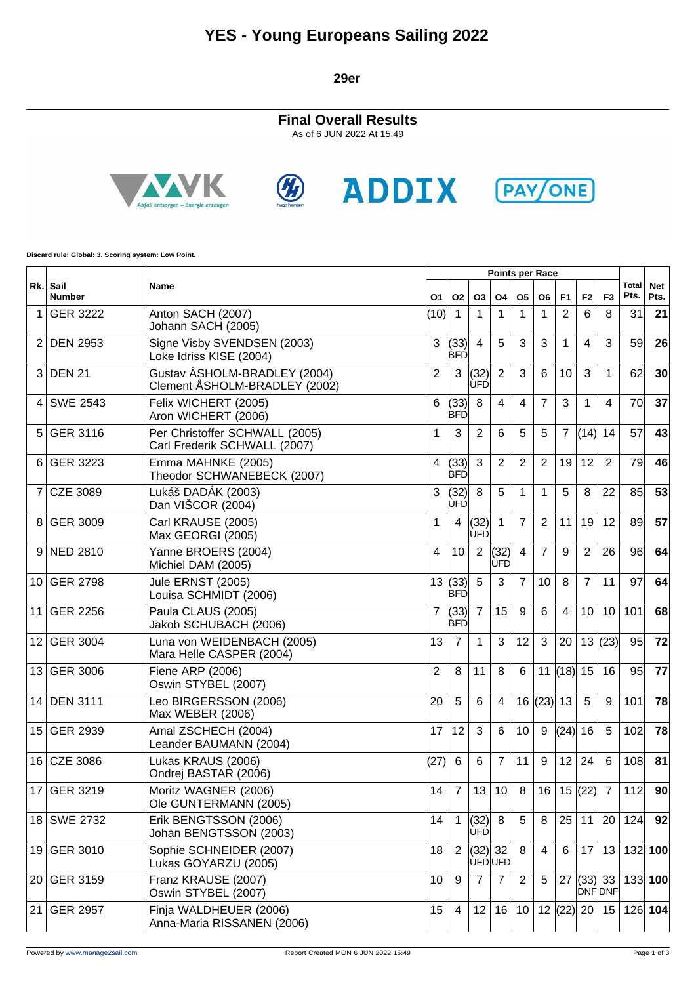### **YES - Young Europeans Sailing 2022**

**29er**

**Final Overall Results** As of 6 JUN 2022 At 15:49









**Discard rule: Global: 3. Scoring system: Low Point.**

|                  |                           |                                                                |                 |                    |                    |                |                | <b>Points per Race</b> |                |                |                |                      |                    |  |  |  |
|------------------|---------------------------|----------------------------------------------------------------|-----------------|--------------------|--------------------|----------------|----------------|------------------------|----------------|----------------|----------------|----------------------|--------------------|--|--|--|
|                  | Rk. Sail<br><b>Number</b> | Name                                                           | O1              | <b>O2</b>          | O3                 | Ο4             | <b>O5</b>      | O <sub>6</sub>         | F <sub>1</sub> | F <sub>2</sub> | F <sub>3</sub> | <b>Total</b><br>Pts. | <b>Net</b><br>Pts. |  |  |  |
| 1                | <b>GER 3222</b>           | Anton SACH (2007)<br>Johann SACH (2005)                        | (10)            | 1                  | 1                  | 1              | 1              | 1                      | $\overline{2}$ | 6              | 8              | 31                   | 21                 |  |  |  |
| 2                | <b>DEN 2953</b>           | Signe Visby SVENDSEN (2003)<br>Loke Idriss KISE (2004)         | 3               | (33)<br><b>BFD</b> | $\overline{4}$     | 5              | 3              | 3                      | 1              | 4              | 3              | 59                   | 26                 |  |  |  |
| 3                | <b>DEN 21</b>             | Gustav ÅSHOLM-BRADLEY (2004)<br>Clement ÅSHOLM-BRADLEY (2002)  | $\overline{2}$  | $\mathbf{3}$       | (32)<br>UFD        | $\overline{2}$ | 3              | 6                      | 10             | 3              | $\mathbf{1}$   | 62                   | 30                 |  |  |  |
| 4                | <b>SWE 2543</b>           | Felix WICHERT (2005)<br>Aron WICHERT (2006)                    | 6               | (33)<br><b>BFD</b> | 8                  | 4              | 4              | $\overline{7}$         | 3              | 1              | $\overline{4}$ | 70                   | 37                 |  |  |  |
| 5                | <b>GER 3116</b>           | Per Christoffer SCHWALL (2005)<br>Carl Frederik SCHWALL (2007) | 1               | 3                  | 2                  | 6              | 5              | 5                      | $\overline{7}$ | (14)           | 14             | 57                   | 43                 |  |  |  |
| 6                | <b>GER 3223</b>           | Emma MAHNKE (2005)<br>Theodor SCHWANEBECK (2007)               | 4               | (33)<br><b>BFD</b> | 3                  | $\overline{2}$ | $\overline{2}$ | $\overline{2}$         | 19             | 12             | 2              | 79                   | 46                 |  |  |  |
| 7                | <b>CZE 3089</b>           | Lukáš DADÁK (2003)<br>Dan VIŠCOR (2004)                        | 3               | (32)<br><b>UFD</b> | 8                  | 5              | $\mathbf 1$    | 1                      | 5              | 8              | 22             | 85                   | 53                 |  |  |  |
| 8                | GER 3009                  | Carl KRAUSE (2005)<br>Max GEORGI (2005)                        | 1               | $\overline{4}$     | (32)<br><b>UFD</b> | $\mathbf{1}$   | $\overline{7}$ | $\overline{2}$         | 11             | 19             | 12             | 89                   | 57                 |  |  |  |
| 9                | <b>NED 2810</b>           | Yanne BROERS (2004)<br>Michiel DAM (2005)                      | 4               | 10                 | 2                  | (32)<br>ÙFĎ    | $\overline{4}$ | $\overline{7}$         | 9              | 2              | 26             | 96                   | 64                 |  |  |  |
| 10               | <b>GER 2798</b>           | Jule ERNST (2005)<br>Louisa SCHMIDT (2006)                     | 13 <sup>°</sup> | (33)<br><b>BFD</b> | 5                  | 3              | $\overline{7}$ | 10                     | 8              | $\overline{7}$ | 11             | 97                   | 64                 |  |  |  |
| 11               | <b>GER 2256</b>           | Paula CLAUS (2005)<br>Jakob SCHUBACH (2006)                    | $\overline{7}$  | (33)<br><b>BFD</b> | $\overline{7}$     | 15             | 9              | 6                      | 4              | 10             | 10             | 101                  | 68                 |  |  |  |
| 12               | <b>GER 3004</b>           | Luna von WEIDENBACH (2005)<br>Mara Helle CASPER (2004)         | 13              | $\overline{7}$     | 1                  | 3              | 12             | 3                      | 20             |                | 13(23)         | 95                   | 72                 |  |  |  |
| 13               | <b>GER 3006</b>           | Fiene ARP (2006)<br>Oswin STYBEL (2007)                        | $\overline{2}$  | 8                  | 11                 | 8              | 6              |                        | 11 $(18)$ 15   |                | 16             | 95                   | 77                 |  |  |  |
| 14               | <b>DEN 3111</b>           | Leo BIRGERSSON (2006)<br>Max WEBER (2006)                      | 20              | 5                  | 6                  | $\overline{4}$ |                | 16   (23)              | 13             | 5              | 9              | 101                  | 78                 |  |  |  |
| 15 <sub>15</sub> | <b>GER 2939</b>           | Amal ZSCHECH (2004)<br>Leander BAUMANN (2004)                  | 17              | 12                 | 3                  | 6              | 10             | 9                      | (24) 16        |                | 5              | 102                  | 78                 |  |  |  |
| 16 <sup>1</sup>  | CZE 3086                  | Lukas KRAUS (2006)<br>Ondrej BASTAR (2006)                     | (27)            | 6                  | 6                  | $\overline{7}$ | 11             | 9                      | 12             | 24             | 6              | 108                  | 81                 |  |  |  |
|                  | 17 GER 3219               | Moritz WAGNER (2006)<br>Ole GUNTERMANN (2005)                  | 14              | $\overline{7}$     |                    | 13 10 8        |                | 16 15 22 7             |                |                |                | 112                  | 90 <sub>l</sub>    |  |  |  |
|                  | 18 SWE 2732               | Erik BENGTSSON (2006)<br>Johan BENGTSSON (2003)                | 14              | $\overline{1}$     | (32)<br>UFD        | 8              | 5              | 8                      | 25             | 11             | 20             | 124                  | 92                 |  |  |  |
|                  | 19 GER 3010               | Sophie SCHNEIDER (2007)<br>Lukas GOYARZU (2005)                | 18              | 2                  | $(32)$ 32          | ÙFDUFD         | 8              | 4                      | 6              | 17             | 13             |                      | 132 100            |  |  |  |
| 20 <sub>1</sub>  | <b>GER 3159</b>           | Franz KRAUSE (2007)<br>Oswin STYBEL (2007)                     | 10 <sup>1</sup> | 9                  | $\overline{7}$     | $\overline{7}$ | $\overline{2}$ | 5                      |                | 27  (33)  33   | <b>DNFONF</b>  |                      | 133 100            |  |  |  |
| 21               | <b>GER 2957</b>           | Finja WALDHEUER (2006)<br>Anna-Maria RISSANEN (2006)           | 15              | 4                  | 12                 | 16             | 10             |                        | 12  (22)  20   |                | 15             |                      | 126 104            |  |  |  |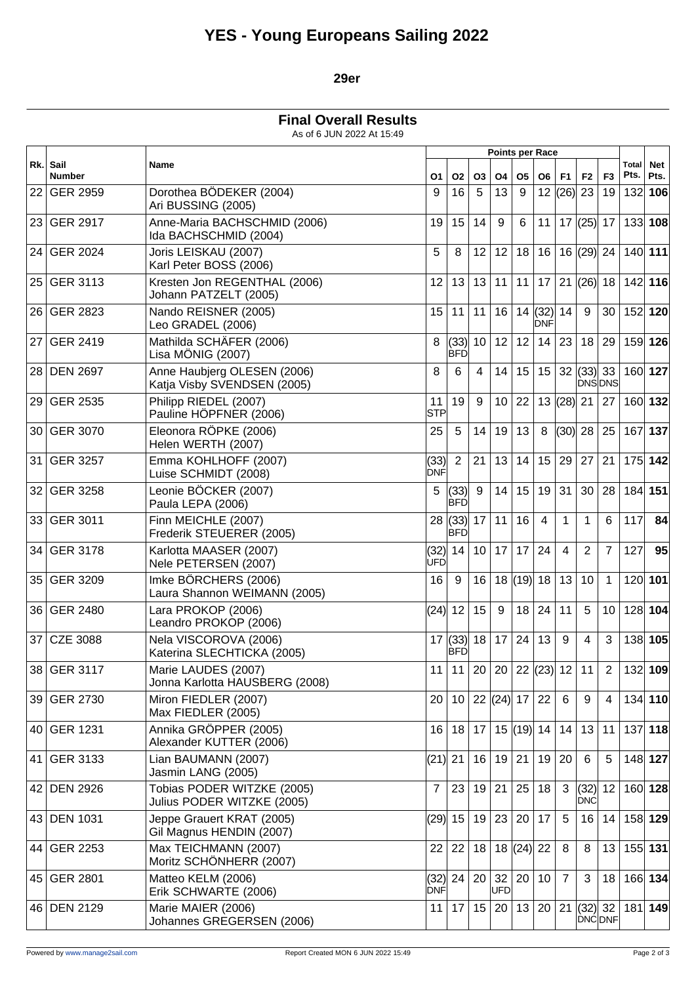# **YES - Young Europeans Sailing 2022**

### **29er**

**Final Overall Results**

As of 6 JUN 2022 At 15:49

|     | Sail<br><b>Number</b> | Name                                                       | <b>Points per Race</b> |                          |                 |              |                   |               |                                                     |                               |                |                      |                    |
|-----|-----------------------|------------------------------------------------------------|------------------------|--------------------------|-----------------|--------------|-------------------|---------------|-----------------------------------------------------|-------------------------------|----------------|----------------------|--------------------|
| Rk. |                       |                                                            | O1                     | O2                       | O <sub>3</sub>  | Ο4           | O <sub>5</sub>    | O6            | F <sub>1</sub>                                      | F <sub>2</sub>                | F <sub>3</sub> | <b>Total</b><br>Pts. | <b>Net</b><br>Pts. |
| 22  | <b>GER 2959</b>       | Dorothea BÖDEKER (2004)<br>Ari BUSSING (2005)              | 9                      | 16                       | 5               | 13           | 9                 | 12            | (26)                                                | 23                            | 19             | 132                  | 106                |
|     | 23 GER 2917           | Anne-Maria BACHSCHMID (2006)<br>Ida BACHSCHMID (2004)      | 19                     | 15                       | 14              | $9\,$        | 6                 | 11            |                                                     | $17$ (25) 17                  |                |                      | $133$ 108          |
|     | 24 GER 2024           | Joris LEISKAU (2007)<br>Karl Peter BOSS (2006)             | 5                      | 8                        | 12              | 12           | 18                | 16            |                                                     | $16$ (29) 24                  |                | 140 111              |                    |
| 25  | <b>GER 3113</b>       | Kresten Jon REGENTHAL (2006)<br>Johann PATZELT (2005)      | 12                     | 13                       | 13              | 11           | 11                | 17            |                                                     | 21  (26)  18                  |                |                      | 142 116            |
|     | 26 GER 2823           | Nando REISNER (2005)<br>Leo GRADEL (2006)                  | 15                     | 11                       | 11              | 16           |                   | 14(32)<br>DNF | 14                                                  | 9                             | 30             |                      | 152 120            |
| 27  | <b>GER 2419</b>       | Mathilda SCHÄFER (2006)<br>Lisa MÖNIG (2007)               | 8                      | (33)  10  <br><b>BFD</b> |                 | 12           | 12                | 14            | 23                                                  | 18                            | 29             |                      | 159 126            |
|     | 28 DEN 2697           | Anne Haubjerg OLESEN (2006)<br>Katja Visby SVENDSEN (2005) | 8                      | 6                        | 4               | 14           | 15                | 15            |                                                     | 32  (33)  33<br><b>DNSDNS</b> |                |                      | 160 127            |
| 29  | <b>GER 2535</b>       | Philipp RIEDEL (2007)<br>Pauline HÖPFNER (2006)            | 11<br><b>STP</b>       | 19                       | 9               | 10           | 22                | 13            | $(28)$ 21                                           |                               | 27             |                      | 160 132            |
| 30  | <b>GER 3070</b>       | Eleonora RÖPKE (2006)<br>Helen WERTH (2007)                | 25                     | 5                        | 14              | 19           | 13                | 8             | $(30)$ 28                                           |                               | 25             | 167                  | 137                |
| 31  | GER 3257              | Emma KOHLHOFF (2007)<br>Luise SCHMIDT (2008)               | (33)<br>DNF            | $\overline{2}$           | 21              | 13           | 14                | 15            | 29                                                  | 27                            | 21             |                      | 175 142            |
| 32  | <b>GER 3258</b>       | Leonie BÖCKER (2007)<br>Paula LEPA (2006)                  | 5                      | (33)<br><b>BFD</b>       | 9               | 14           | 15                | 19            | 31                                                  | 30                            | 28             | 184 151              |                    |
|     | 33 GER 3011           | Finn MEICHLE (2007)<br>Frederik STEUERER (2005)            |                        | $28$ (33)<br>IBFD        | 17              | 11           | 16                | 4             | 1                                                   | 1                             | 6              | 117                  | 84                 |
| 34  | <b>GER 3178</b>       | Karlotta MAASER (2007)<br>Nele PETERSEN (2007)             | (32)<br><b>UFD</b>     | 14                       | 10 <sup>1</sup> | 17           | 17                | 24            | 4                                                   | $\overline{2}$                | $\overline{7}$ | 127                  | 95                 |
|     | 35 GER 3209           | Imke BÖRCHERS (2006)<br>Laura Shannon WEIMANN (2005)       | 16                     | 9                        | 16              |              | 18 (19) 18        |               | 13                                                  | 10                            | $\mathbf{1}$   |                      | 120 101            |
| 36  | <b>GER 2480</b>       | Lara PROKOP (2006)<br>Leandro PROKOP (2006)                | (24)                   | 12                       | 15              | 9            | 18                | 24            | 11                                                  | 5                             | 10             |                      | 128 104            |
| 37  | <b>CZE 3088</b>       | Nela VISCOROVA (2006)<br>Katerina SLECHTICKA (2005)        |                        | 17   (33)<br><b>BFD</b>  | 18 <sup>1</sup> | 17           | 24                | 13            | 9                                                   | 4                             | 3              |                      | 138 105            |
|     | 38 GER 3117           | Marie LAUDES (2007)<br>Jonna Karlotta HAUSBERG (2008)      | 11                     | 11                       |                 |              |                   |               | $\left  20 \right  20 \left  22 \right $ (23) 12 11 |                               | $\overline{2}$ | $132$ 109            |                    |
|     | 39 GER 2730           | Miron FIEDLER (2007)<br>Max FIEDLER (2005)                 | 20                     | 10 <sup>°</sup>          |                 |              | 22  (24)  17   22 |               | 6                                                   | 9                             | 4              |                      | $134$ 110          |
|     | 40 GER 1231           | Annika GRÖPPER (2005)<br>Alexander KUTTER (2006)           | 16                     | 18                       | 17 <sup>1</sup> |              | 15  (19)  14      |               | 14                                                  | 13                            | 11             |                      | $137$ 118          |
|     | 41 GER 3133           | Lian BAUMANN (2007)<br>Jasmin LANG (2005)                  | $(21)$ 21              |                          | 16              |              | 19 21 19          |               | 20                                                  | 6                             | 5              |                      | 148 127            |
|     | 42 DEN 2926           | Tobias PODER WITZKE (2005)<br>Julius PODER WITZKE (2005)   | $\overline{7}$         | 23                       |                 | 19 21        | 25 18             |               | 3                                                   | (32)<br><b>DNC</b>            | 12             |                      | 160 128            |
|     | 43 DEN 1031           | Jeppe Grauert KRAT (2005)<br>Gil Magnus HENDIN (2007)      |                        | (29) 15                  |                 |              | 19 23 20 17       |               | 5                                                   | 16                            | 14             | 158 129              |                    |
|     | 44 GER 2253           | Max TEICHMANN (2007)<br>Moritz SCHÖNHERR (2007)            | 22                     | 22                       | 18 <sup>1</sup> |              | 18  (24)  22      |               | 8                                                   | 8                             | 13             |                      | $155$ 131          |
|     | 45 GER 2801           | Matteo KELM (2006)<br>Erik SCHWARTE (2006)                 | <b>DNF</b>             | $(32)$   24              |                 | 20 32<br>UFD | 20                | 10            | $\overline{7}$                                      | 3                             | 18             |                      | 166 134            |
|     | 46 DEN 2129           | Marie MAIER (2006)<br>Johannes GREGERSEN (2006)            | 11                     | 17 <sup>1</sup>          | 15              | 20           | 13                | 20            | 21                                                  | $(32)$ 32<br>DNC DNF          |                | 181 149              |                    |